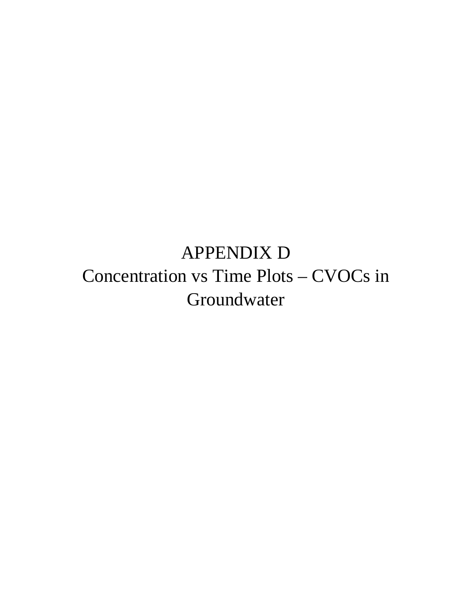## APPENDIX D Concentration vs Time Plots – CVOCs in Groundwater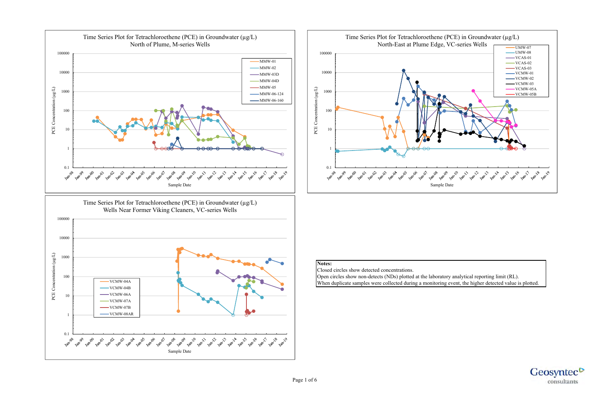## **Notes:**

Closed circles show detected concentrations. Open circles show non-detects (NDs) plotted at the laboratory analytical reporting limit (RL). When duplicate samples were collected during a monitoring event, the higher detected value is plotted.





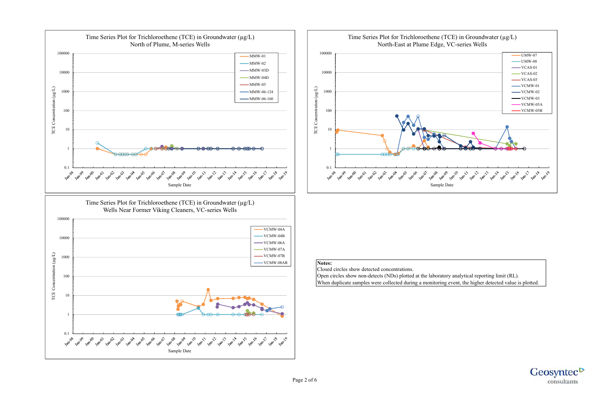

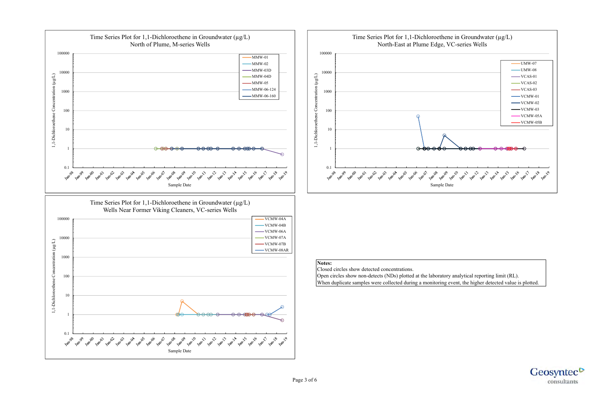

![](_page_3_Picture_3.jpeg)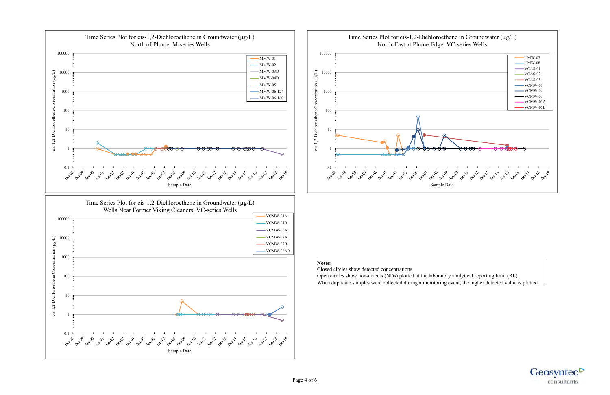![](_page_4_Figure_0.jpeg)

![](_page_4_Picture_3.jpeg)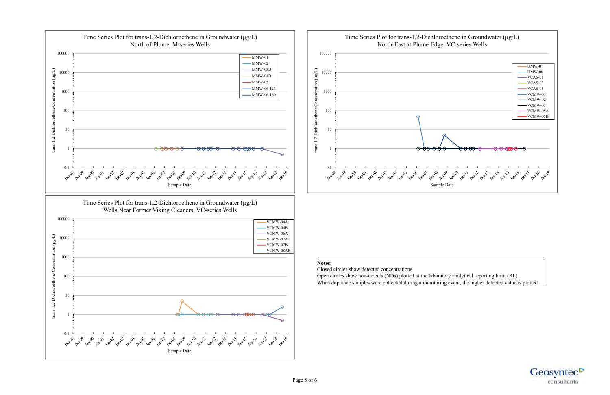![](_page_5_Figure_0.jpeg)

![](_page_5_Picture_3.jpeg)